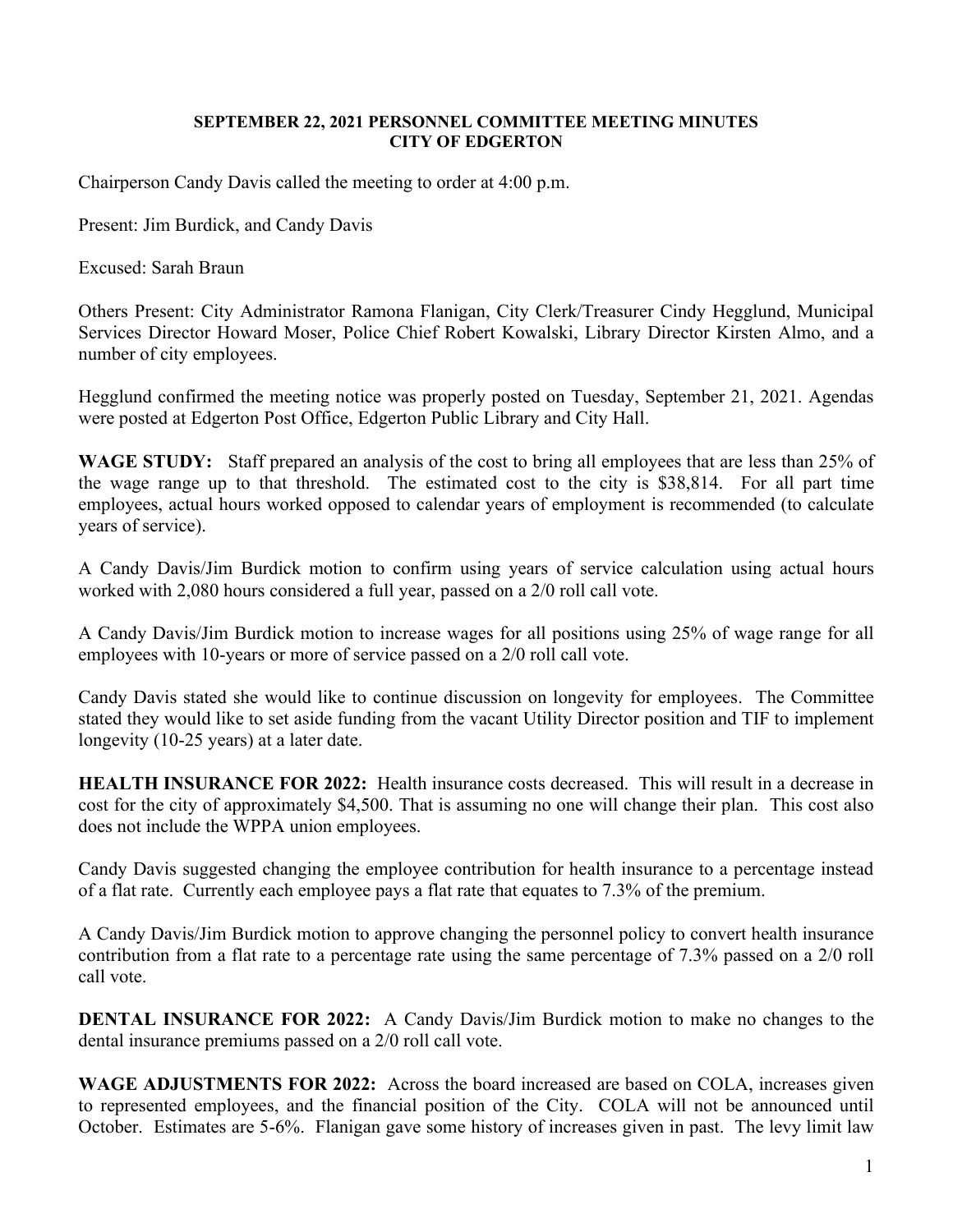## **SEPTEMBER 22, 2021 PERSONNEL COMMITTEE MEETING MINUTES CITY OF EDGERTON**

Chairperson Candy Davis called the meeting to order at 4:00 p.m.

Present: Jim Burdick, and Candy Davis

Excused: Sarah Braun

Others Present: City Administrator Ramona Flanigan, City Clerk/Treasurer Cindy Hegglund, Municipal Services Director Howard Moser, Police Chief Robert Kowalski, Library Director Kirsten Almo, and a number of city employees.

Hegglund confirmed the meeting notice was properly posted on Tuesday, September 21, 2021. Agendas were posted at Edgerton Post Office, Edgerton Public Library and City Hall.

WAGE STUDY: Staff prepared an analysis of the cost to bring all employees that are less than 25% of the wage range up to that threshold. The estimated cost to the city is \$38,814. For all part time employees, actual hours worked opposed to calendar years of employment is recommended (to calculate years of service).

A Candy Davis/Jim Burdick motion to confirm using years of service calculation using actual hours worked with 2,080 hours considered a full year, passed on a 2/0 roll call vote.

A Candy Davis/Jim Burdick motion to increase wages for all positions using 25% of wage range for all employees with 10-years or more of service passed on a 2/0 roll call vote.

Candy Davis stated she would like to continue discussion on longevity for employees. The Committee stated they would like to set aside funding from the vacant Utility Director position and TIF to implement longevity (10-25 years) at a later date.

**HEALTH INSURANCE FOR 2022:** Health insurance costs decreased. This will result in a decrease in cost for the city of approximately \$4,500. That is assuming no one will change their plan. This cost also does not include the WPPA union employees.

Candy Davis suggested changing the employee contribution for health insurance to a percentage instead of a flat rate. Currently each employee pays a flat rate that equates to 7.3% of the premium.

A Candy Davis/Jim Burdick motion to approve changing the personnel policy to convert health insurance contribution from a flat rate to a percentage rate using the same percentage of 7.3% passed on a 2/0 roll call vote.

**DENTAL INSURANCE FOR 2022:** A Candy Davis/Jim Burdick motion to make no changes to the dental insurance premiums passed on a 2/0 roll call vote.

**WAGE ADJUSTMENTS FOR 2022:** Across the board increased are based on COLA, increases given to represented employees, and the financial position of the City. COLA will not be announced until October. Estimates are 5-6%. Flanigan gave some history of increases given in past. The levy limit law